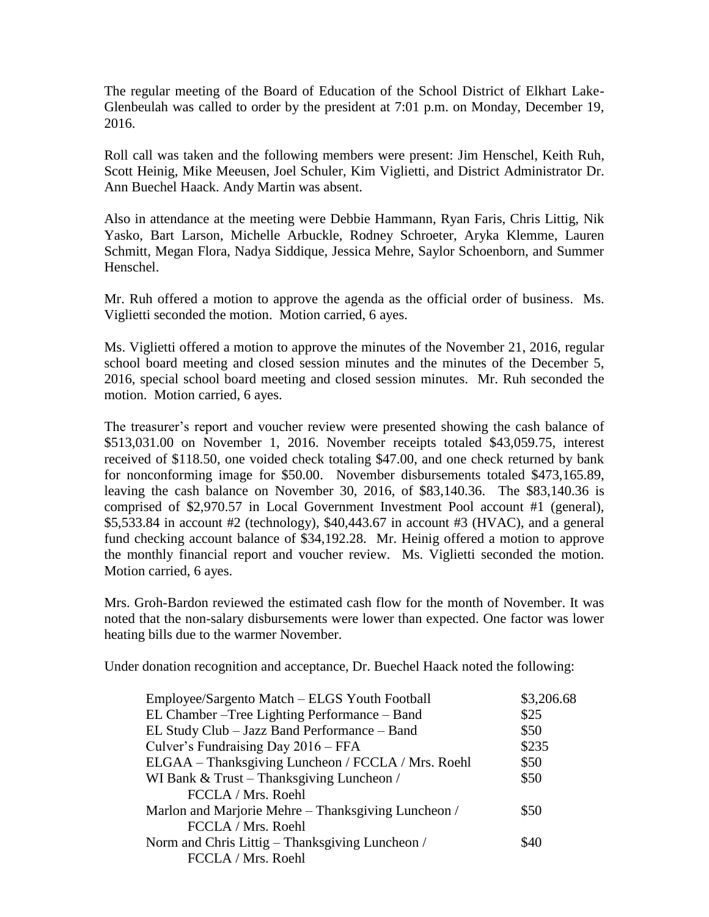The regular meeting of the Board of Education of the School District of Elkhart Lake-Glenbeulah was called to order by the president at 7:01 p.m. on Monday, December 19, 2016.

Roll call was taken and the following members were present: Jim Henschel, Keith Ruh, Scott Heinig, Mike Meeusen, Joel Schuler, Kim Viglietti, and District Administrator Dr. Ann Buechel Haack. Andy Martin was absent.

Also in attendance at the meeting were Debbie Hammann, Ryan Faris, Chris Littig, Nik Yasko, Bart Larson, Michelle Arbuckle, Rodney Schroeter, Aryka Klemme, Lauren Schmitt, Megan Flora, Nadya Siddique, Jessica Mehre, Saylor Schoenborn, and Summer Henschel.

Mr. Ruh offered a motion to approve the agenda as the official order of business. Ms. Viglietti seconded the motion. Motion carried, 6 ayes.

Ms. Viglietti offered a motion to approve the minutes of the November 21, 2016, regular school board meeting and closed session minutes and the minutes of the December 5, 2016, special school board meeting and closed session minutes. Mr. Ruh seconded the motion. Motion carried, 6 ayes.

The treasurer's report and voucher review were presented showing the cash balance of \$513,031.00 on November 1, 2016. November receipts totaled \$43,059.75, interest received of \$118.50, one voided check totaling \$47.00, and one check returned by bank for nonconforming image for \$50.00. November disbursements totaled \$473,165.89, leaving the cash balance on November 30, 2016, of \$83,140.36. The \$83,140.36 is comprised of \$2,970.57 in Local Government Investment Pool account #1 (general), \$5,533.84 in account #2 (technology), \$40,443.67 in account #3 (HVAC), and a general fund checking account balance of \$34,192.28. Mr. Heinig offered a motion to approve the monthly financial report and voucher review. Ms. Viglietti seconded the motion. Motion carried, 6 ayes.

Mrs. Groh-Bardon reviewed the estimated cash flow for the month of November. It was noted that the non-salary disbursements were lower than expected. One factor was lower heating bills due to the warmer November.

Under donation recognition and acceptance, Dr. Buechel Haack noted the following:

| Employee/Sargento Match - ELGS Youth Football       | \$3,206.68 |
|-----------------------------------------------------|------------|
| EL Chamber – Tree Lighting Performance – Band       | \$25       |
| EL Study Club - Jazz Band Performance - Band        | \$50       |
| Culver's Fundraising Day 2016 – FFA                 | \$235      |
| ELGAA – Thanksgiving Luncheon / FCCLA / Mrs. Roehl  | \$50       |
| WI Bank & Trust – Thanksgiving Luncheon /           | \$50       |
| FCCLA / Mrs. Roehl                                  |            |
| Marlon and Marjorie Mehre – Thanksgiving Luncheon / | \$50       |
| FCCLA / Mrs. Roehl                                  |            |
| Norm and Chris Littig – Thanksgiving Luncheon /     | \$40       |
| FCCLA / Mrs. Roehl                                  |            |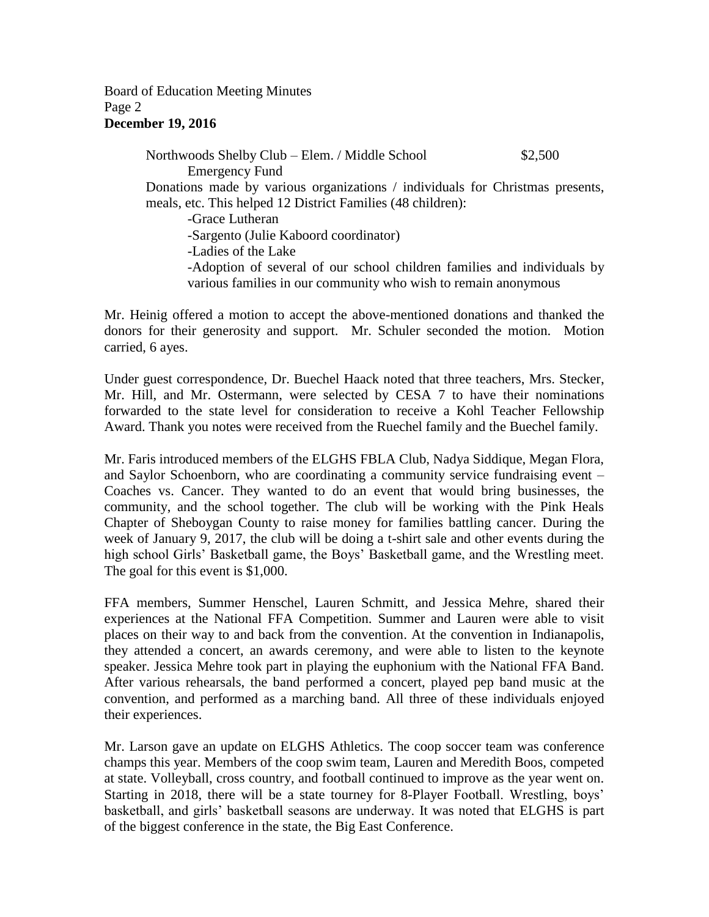Board of Education Meeting Minutes Page 2 **December 19, 2016**

> Northwoods Shelby Club – Elem. / Middle School \$2,500 Emergency Fund Donations made by various organizations / individuals for Christmas presents, meals, etc. This helped 12 District Families (48 children): -Grace Lutheran -Sargento (Julie Kaboord coordinator) -Ladies of the Lake -Adoption of several of our school children families and individuals by various families in our community who wish to remain anonymous

Mr. Heinig offered a motion to accept the above-mentioned donations and thanked the donors for their generosity and support. Mr. Schuler seconded the motion. Motion carried, 6 ayes.

Under guest correspondence, Dr. Buechel Haack noted that three teachers, Mrs. Stecker, Mr. Hill, and Mr. Ostermann, were selected by CESA 7 to have their nominations forwarded to the state level for consideration to receive a Kohl Teacher Fellowship Award. Thank you notes were received from the Ruechel family and the Buechel family.

Mr. Faris introduced members of the ELGHS FBLA Club, Nadya Siddique, Megan Flora, and Saylor Schoenborn, who are coordinating a community service fundraising event – Coaches vs. Cancer. They wanted to do an event that would bring businesses, the community, and the school together. The club will be working with the Pink Heals Chapter of Sheboygan County to raise money for families battling cancer. During the week of January 9, 2017, the club will be doing a t-shirt sale and other events during the high school Girls' Basketball game, the Boys' Basketball game, and the Wrestling meet. The goal for this event is \$1,000.

FFA members, Summer Henschel, Lauren Schmitt, and Jessica Mehre, shared their experiences at the National FFA Competition. Summer and Lauren were able to visit places on their way to and back from the convention. At the convention in Indianapolis, they attended a concert, an awards ceremony, and were able to listen to the keynote speaker. Jessica Mehre took part in playing the euphonium with the National FFA Band. After various rehearsals, the band performed a concert, played pep band music at the convention, and performed as a marching band. All three of these individuals enjoyed their experiences.

Mr. Larson gave an update on ELGHS Athletics. The coop soccer team was conference champs this year. Members of the coop swim team, Lauren and Meredith Boos, competed at state. Volleyball, cross country, and football continued to improve as the year went on. Starting in 2018, there will be a state tourney for 8-Player Football. Wrestling, boys' basketball, and girls' basketball seasons are underway. It was noted that ELGHS is part of the biggest conference in the state, the Big East Conference.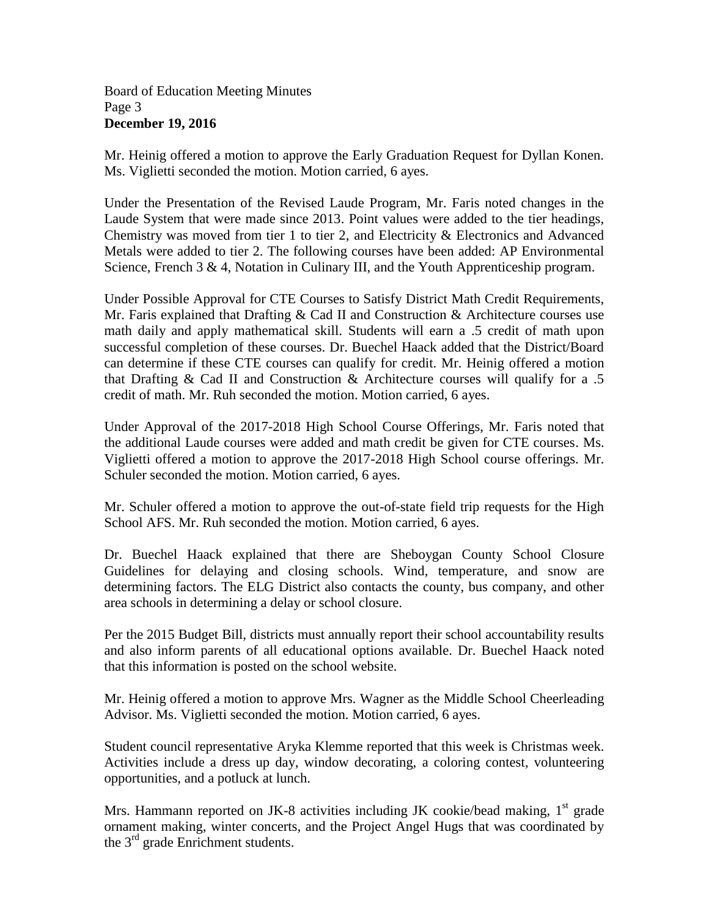## Board of Education Meeting Minutes Page 3 **December 19, 2016**

Mr. Heinig offered a motion to approve the Early Graduation Request for Dyllan Konen. Ms. Viglietti seconded the motion. Motion carried, 6 ayes.

Under the Presentation of the Revised Laude Program, Mr. Faris noted changes in the Laude System that were made since 2013. Point values were added to the tier headings, Chemistry was moved from tier 1 to tier 2, and Electricity  $\&$  Electronics and Advanced Metals were added to tier 2. The following courses have been added: AP Environmental Science, French 3 & 4, Notation in Culinary III, and the Youth Apprenticeship program.

Under Possible Approval for CTE Courses to Satisfy District Math Credit Requirements, Mr. Faris explained that Drafting & Cad II and Construction & Architecture courses use math daily and apply mathematical skill. Students will earn a .5 credit of math upon successful completion of these courses. Dr. Buechel Haack added that the District/Board can determine if these CTE courses can qualify for credit. Mr. Heinig offered a motion that Drafting  $&$  Cad II and Construction  $&$  Architecture courses will qualify for a .5 credit of math. Mr. Ruh seconded the motion. Motion carried, 6 ayes.

Under Approval of the 2017-2018 High School Course Offerings, Mr. Faris noted that the additional Laude courses were added and math credit be given for CTE courses. Ms. Viglietti offered a motion to approve the 2017-2018 High School course offerings. Mr. Schuler seconded the motion. Motion carried, 6 ayes.

Mr. Schuler offered a motion to approve the out-of-state field trip requests for the High School AFS. Mr. Ruh seconded the motion. Motion carried, 6 ayes.

Dr. Buechel Haack explained that there are Sheboygan County School Closure Guidelines for delaying and closing schools. Wind, temperature, and snow are determining factors. The ELG District also contacts the county, bus company, and other area schools in determining a delay or school closure.

Per the 2015 Budget Bill, districts must annually report their school accountability results and also inform parents of all educational options available. Dr. Buechel Haack noted that this information is posted on the school website.

Mr. Heinig offered a motion to approve Mrs. Wagner as the Middle School Cheerleading Advisor. Ms. Viglietti seconded the motion. Motion carried, 6 ayes.

Student council representative Aryka Klemme reported that this week is Christmas week. Activities include a dress up day, window decorating, a coloring contest, volunteering opportunities, and a potluck at lunch.

Mrs. Hammann reported on JK-8 activities including JK cookie/bead making,  $1<sup>st</sup>$  grade ornament making, winter concerts, and the Project Angel Hugs that was coordinated by the 3<sup>rd</sup> grade Enrichment students.